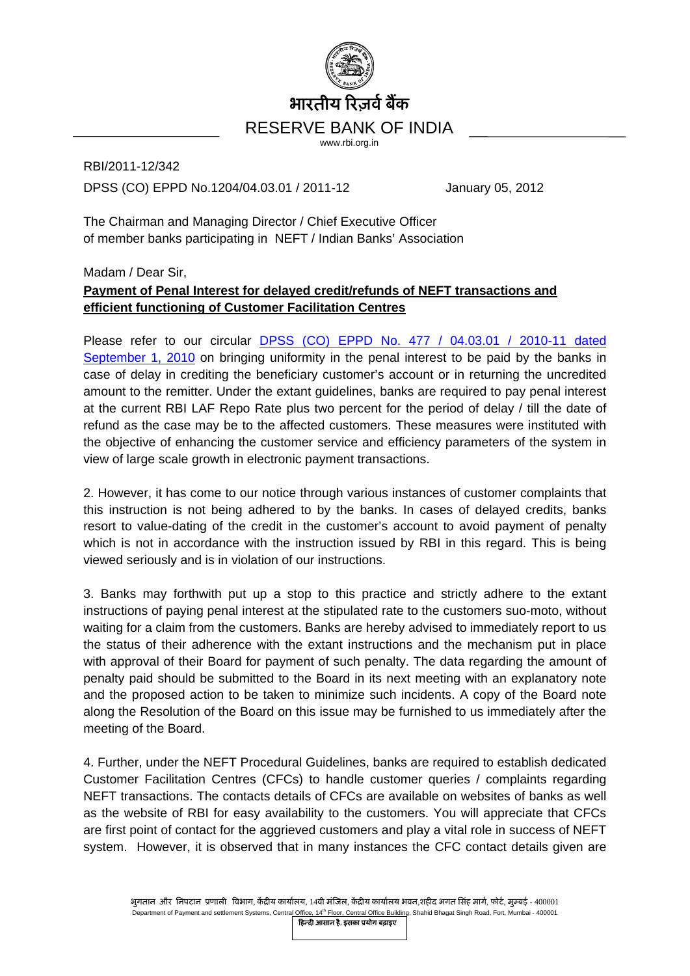

RBI/2011-12/342 DPSS (CO) EPPD No.1204/04.03.01 / 2011-12 January 05, 2012

The Chairman and Managing Director / Chief Executive Officer of member banks participating in NEFT / Indian Banks' Association

## Madam / Dear Sir, **Payment of Penal Interest for delayed credit/refunds of NEFT transactions and efficient functioning of Customer Facilitation Centres**

Please refer to our circular **DPSS** (CO) EPPD No. 477 / 04.03.01 / 2010-11 dated [September 1, 2010](http://www.rbi.org.in/scripts/NotificationUser.aspx?Id=5976&Mode=0) on bringing uniformity in the penal interest to be paid by the banks in case of delay in crediting the beneficiary customer's account or in returning the uncredited amount to the remitter. Under the extant guidelines, banks are required to pay penal interest at the current RBI LAF Repo Rate plus two percent for the period of delay / till the date of refund as the case may be to the affected customers. These measures were instituted with the objective of enhancing the customer service and efficiency parameters of the system in view of large scale growth in electronic payment transactions.

2. However, it has come to our notice through various instances of customer complaints that this instruction is not being adhered to by the banks. In cases of delayed credits, banks resort to value-dating of the credit in the customer's account to avoid payment of penalty which is not in accordance with the instruction issued by RBI in this regard. This is being viewed seriously and is in violation of our instructions.

3. Banks may forthwith put up a stop to this practice and strictly adhere to the extant instructions of paying penal interest at the stipulated rate to the customers suo-moto, without waiting for a claim from the customers. Banks are hereby advised to immediately report to us the status of their adherence with the extant instructions and the mechanism put in place with approval of their Board for payment of such penalty. The data regarding the amount of penalty paid should be submitted to the Board in its next meeting with an explanatory note and the proposed action to be taken to minimize such incidents. A copy of the Board note along the Resolution of the Board on this issue may be furnished to us immediately after the meeting of the Board.

4. Further, under the NEFT Procedural Guidelines, banks are required to establish dedicated Customer Facilitation Centres (CFCs) to handle customer queries / complaints regarding NEFT transactions. The contacts details of CFCs are available on websites of banks as well as the website of RBI for easy availability to the customers. You will appreciate that CFCs are first point of contact for the aggrieved customers and play a vital role in success of NEFT system. However, it is observed that in many instances the CFC contact details given are

भुगतान और निपटान प्रणाली विभाग, केंद्रीय कार्यालय, 14वी मंजिल, केंद्रीय कार्यालय भवन,शहीद भगत सिंह मार्ग, फोर्ट, मुम्बई - 400001 Department of Payment and settlement Systems, Central Office, 14<sup>th</sup> Floor, Central Office Building, Shahid Bhagat Singh Road, Fort, Mumbai - 400001

िहन्दी आसान है, इसका ूयोग बढ़ाइए